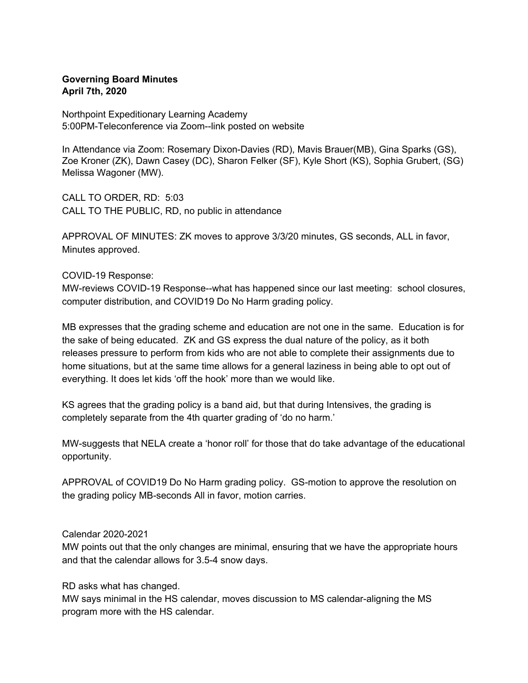## **Governing Board Minutes April 7th, 2020**

Northpoint Expeditionary Learning Academy 5:00PM-Teleconference via Zoom--link posted on website

In Attendance via Zoom: Rosemary Dixon-Davies (RD), Mavis Brauer(MB), Gina Sparks (GS), Zoe Kroner (ZK), Dawn Casey (DC), Sharon Felker (SF), Kyle Short (KS), Sophia Grubert, (SG) Melissa Wagoner (MW).

CALL TO ORDER, RD: 5:03 CALL TO THE PUBLIC, RD, no public in attendance

APPROVAL OF MINUTES: ZK moves to approve 3/3/20 minutes, GS seconds, ALL in favor, Minutes approved.

COVID-19 Response:

MW-reviews COVID-19 Response--what has happened since our last meeting: school closures, computer distribution, and COVID19 Do No Harm grading policy.

MB expresses that the grading scheme and education are not one in the same. Education is for the sake of being educated. ZK and GS express the dual nature of the policy, as it both releases pressure to perform from kids who are not able to complete their assignments due to home situations, but at the same time allows for a general laziness in being able to opt out of everything. It does let kids 'off the hook' more than we would like.

KS agrees that the grading policy is a band aid, but that during Intensives, the grading is completely separate from the 4th quarter grading of 'do no harm.'

MW-suggests that NELA create a 'honor roll' for those that do take advantage of the educational opportunity.

APPROVAL of COVID19 Do No Harm grading policy. GS-motion to approve the resolution on the grading policy MB-seconds All in favor, motion carries.

Calendar 2020-2021

MW points out that the only changes are minimal, ensuring that we have the appropriate hours and that the calendar allows for 3.5-4 snow days.

RD asks what has changed.

MW says minimal in the HS calendar, moves discussion to MS calendar-aligning the MS program more with the HS calendar.